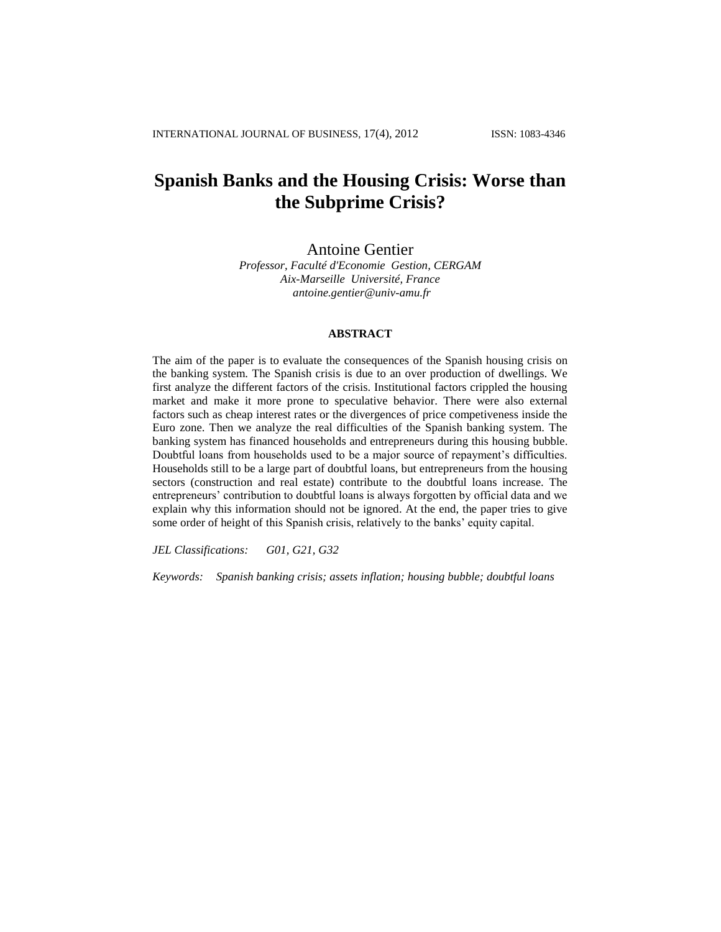# **Spanish Banks and the Housing Crisis: Worse than the Subprime Crisis?**

Antoine Gentier

*Professor, Faculté d'Economie Gestion, CERGAM Aix-Marseille Université, France antoine.gentier@univ-amu.fr*

# **ABSTRACT**

The aim of the paper is to evaluate the consequences of the Spanish housing crisis on the banking system. The Spanish crisis is due to an over production of dwellings. We first analyze the different factors of the crisis. Institutional factors crippled the housing market and make it more prone to speculative behavior. There were also external factors such as cheap interest rates or the divergences of price competiveness inside the Euro zone. Then we analyze the real difficulties of the Spanish banking system. The banking system has financed households and entrepreneurs during this housing bubble. Doubtful loans from households used to be a major source of repayment's difficulties. Households still to be a large part of doubtful loans, but entrepreneurs from the housing sectors (construction and real estate) contribute to the doubtful loans increase. The entrepreneurs' contribution to doubtful loans is always forgotten by official data and we explain why this information should not be ignored. At the end, the paper tries to give some order of height of this Spanish crisis, relatively to the banks' equity capital.

*JEL Classifications: G01, G21, G32*

*Keywords: Spanish banking crisis; assets inflation; housing bubble; doubtful loans*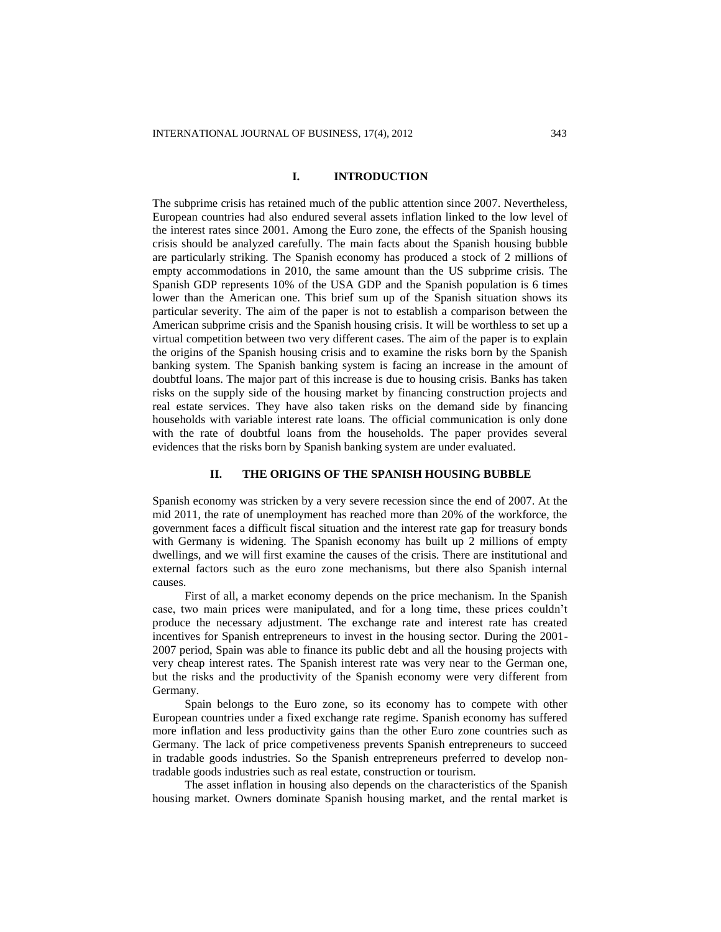# **I. INTRODUCTION**

The subprime crisis has retained much of the public attention since 2007. Nevertheless, European countries had also endured several assets inflation linked to the low level of the interest rates since 2001. Among the Euro zone, the effects of the Spanish housing crisis should be analyzed carefully. The main facts about the Spanish housing bubble are particularly striking. The Spanish economy has produced a stock of 2 millions of empty accommodations in 2010, the same amount than the US subprime crisis. The Spanish GDP represents 10% of the USA GDP and the Spanish population is 6 times lower than the American one. This brief sum up of the Spanish situation shows its particular severity. The aim of the paper is not to establish a comparison between the American subprime crisis and the Spanish housing crisis. It will be worthless to set up a virtual competition between two very different cases. The aim of the paper is to explain the origins of the Spanish housing crisis and to examine the risks born by the Spanish banking system. The Spanish banking system is facing an increase in the amount of doubtful loans. The major part of this increase is due to housing crisis. Banks has taken risks on the supply side of the housing market by financing construction projects and real estate services. They have also taken risks on the demand side by financing households with variable interest rate loans. The official communication is only done with the rate of doubtful loans from the households. The paper provides several evidences that the risks born by Spanish banking system are under evaluated.

#### **II. THE ORIGINS OF THE SPANISH HOUSING BUBBLE**

Spanish economy was stricken by a very severe recession since the end of 2007. At the mid 2011, the rate of unemployment has reached more than 20% of the workforce, the government faces a difficult fiscal situation and the interest rate gap for treasury bonds with Germany is widening. The Spanish economy has built up 2 millions of empty dwellings, and we will first examine the causes of the crisis. There are institutional and external factors such as the euro zone mechanisms, but there also Spanish internal causes.

First of all, a market economy depends on the price mechanism. In the Spanish case, two main prices were manipulated, and for a long time, these prices couldn't produce the necessary adjustment. The exchange rate and interest rate has created incentives for Spanish entrepreneurs to invest in the housing sector. During the 2001- 2007 period, Spain was able to finance its public debt and all the housing projects with very cheap interest rates. The Spanish interest rate was very near to the German one, but the risks and the productivity of the Spanish economy were very different from Germany.

Spain belongs to the Euro zone, so its economy has to compete with other European countries under a fixed exchange rate regime. Spanish economy has suffered more inflation and less productivity gains than the other Euro zone countries such as Germany. The lack of price competiveness prevents Spanish entrepreneurs to succeed in tradable goods industries. So the Spanish entrepreneurs preferred to develop nontradable goods industries such as real estate, construction or tourism.

The asset inflation in housing also depends on the characteristics of the Spanish housing market. Owners dominate Spanish housing market, and the rental market is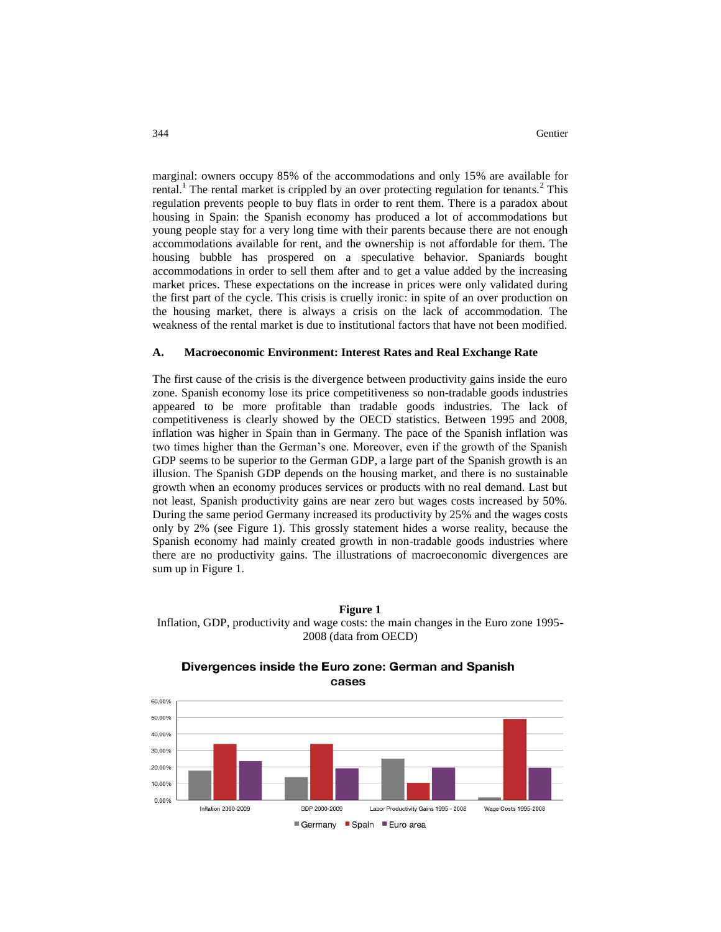marginal: owners occupy 85% of the accommodations and only 15% are available for rental.<sup>1</sup> The rental market is crippled by an over protecting regulation for tenants.<sup>2</sup> This regulation prevents people to buy flats in order to rent them. There is a paradox about housing in Spain: the Spanish economy has produced a lot of accommodations but young people stay for a very long time with their parents because there are not enough accommodations available for rent, and the ownership is not affordable for them. The housing bubble has prospered on a speculative behavior. Spaniards bought accommodations in order to sell them after and to get a value added by the increasing market prices. These expectations on the increase in prices were only validated during the first part of the cycle. This crisis is cruelly ironic: in spite of an over production on the housing market, there is always a crisis on the lack of accommodation. The weakness of the rental market is due to institutional factors that have not been modified.

#### **A. Macroeconomic Environment: Interest Rates and Real Exchange Rate**

The first cause of the crisis is the divergence between productivity gains inside the euro zone. Spanish economy lose its price competitiveness so non-tradable goods industries appeared to be more profitable than tradable goods industries. The lack of competitiveness is clearly showed by the OECD statistics. Between 1995 and 2008, inflation was higher in Spain than in Germany. The pace of the Spanish inflation was two times higher than the German's one. Moreover, even if the growth of the Spanish GDP seems to be superior to the German GDP, a large part of the Spanish growth is an illusion. The Spanish GDP depends on the housing market, and there is no sustainable growth when an economy produces services or products with no real demand. Last but not least, Spanish productivity gains are near zero but wages costs increased by 50%. During the same period Germany increased its productivity by 25% and the wages costs only by 2% (see Figure 1). This grossly statement hides a worse reality, because the Spanish economy had mainly created growth in non-tradable goods industries where there are no productivity gains. The illustrations of macroeconomic divergences are sum up in Figure 1.

# **Figure 1**  Inflation, GDP, productivity and wage costs: the main changes in the Euro zone 1995- 2008 (data from OECD)



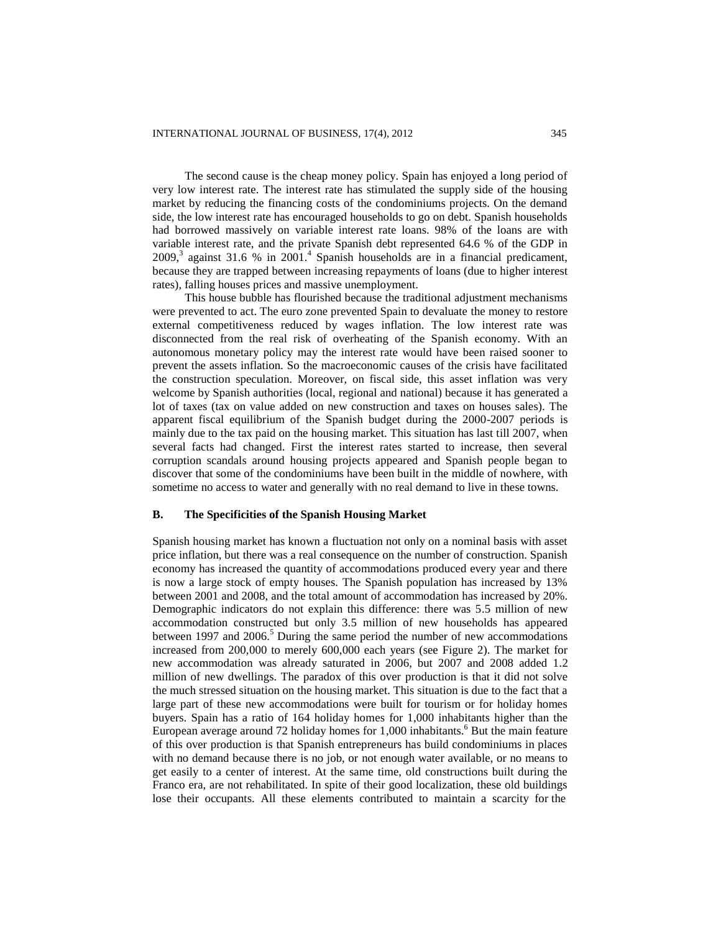The second cause is the cheap money policy. Spain has enjoyed a long period of very low interest rate. The interest rate has stimulated the supply side of the housing market by reducing the financing costs of the condominiums projects. On the demand side, the low interest rate has encouraged households to go on debt. Spanish households had borrowed massively on variable interest rate loans. 98% of the loans are with variable interest rate, and the private Spanish debt represented 64.6 % of the GDP in  $2009$ ,<sup>3</sup> against 31.6 % in  $2001$ .<sup>4</sup> Spanish households are in a financial predicament, because they are trapped between increasing repayments of loans (due to higher interest rates), falling houses prices and massive unemployment.

This house bubble has flourished because the traditional adjustment mechanisms were prevented to act. The euro zone prevented Spain to devaluate the money to restore external competitiveness reduced by wages inflation. The low interest rate was disconnected from the real risk of overheating of the Spanish economy. With an autonomous monetary policy may the interest rate would have been raised sooner to prevent the assets inflation. So the macroeconomic causes of the crisis have facilitated the construction speculation. Moreover, on fiscal side, this asset inflation was very welcome by Spanish authorities (local, regional and national) because it has generated a lot of taxes (tax on value added on new construction and taxes on houses sales). The apparent fiscal equilibrium of the Spanish budget during the 2000-2007 periods is mainly due to the tax paid on the housing market. This situation has last till 2007, when several facts had changed. First the interest rates started to increase, then several corruption scandals around housing projects appeared and Spanish people began to discover that some of the condominiums have been built in the middle of nowhere, with sometime no access to water and generally with no real demand to live in these towns.

#### **B. The Specificities of the Spanish Housing Market**

Spanish housing market has known a fluctuation not only on a nominal basis with asset price inflation, but there was a real consequence on the number of construction. Spanish economy has increased the quantity of accommodations produced every year and there is now a large stock of empty houses. The Spanish population has increased by 13% between 2001 and 2008, and the total amount of accommodation has increased by 20%. Demographic indicators do not explain this difference: there was 5.5 million of new accommodation constructed but only 3.5 million of new households has appeared between 1997 and 2006.<sup>5</sup> During the same period the number of new accommodations increased from 200,000 to merely 600,000 each years (see Figure 2). The market for new accommodation was already saturated in 2006, but 2007 and 2008 added 1.2 million of new dwellings. The paradox of this over production is that it did not solve the much stressed situation on the housing market. This situation is due to the fact that a large part of these new accommodations were built for tourism or for holiday homes buyers. Spain has a ratio of 164 holiday homes for 1,000 inhabitants higher than the European average around 72 holiday homes for  $1,000$  inhabitants.<sup>6</sup> But the main feature of this over production is that Spanish entrepreneurs has build condominiums in places with no demand because there is no job, or not enough water available, or no means to get easily to a center of interest. At the same time, old constructions built during the Franco era, are not rehabilitated. In spite of their good localization, these old buildings lose their occupants. All these elements contributed to maintain a scarcity for the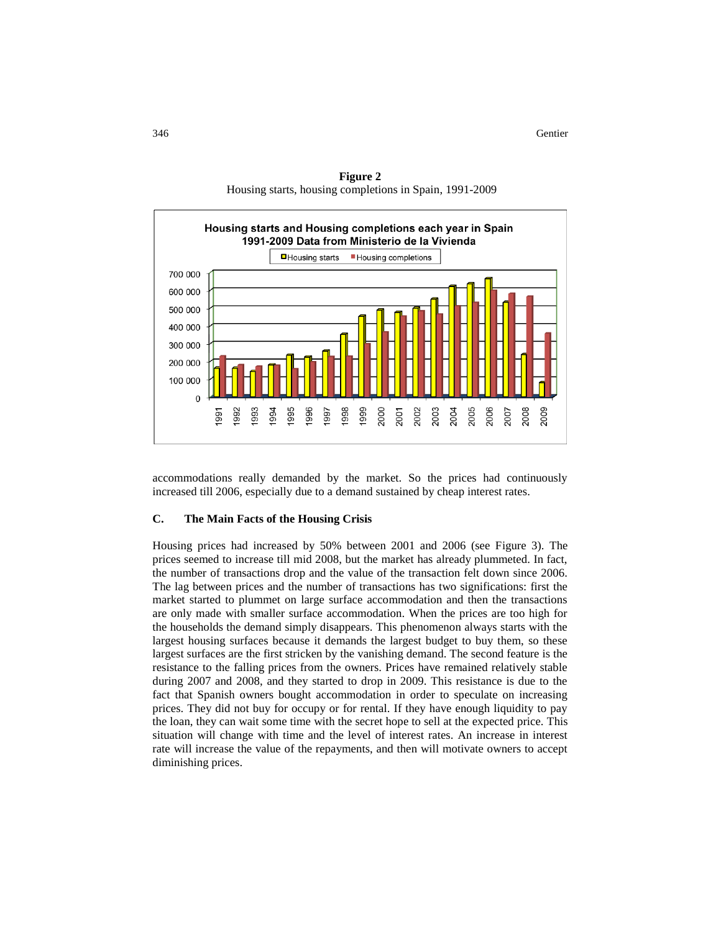

**Figure 2** Housing starts, housing completions in Spain, 1991-2009

accommodations really demanded by the market. So the prices had continuously increased till 2006, especially due to a demand sustained by cheap interest rates.

## **C. The Main Facts of the Housing Crisis**

Housing prices had increased by 50% between 2001 and 2006 (see Figure 3). The prices seemed to increase till mid 2008, but the market has already plummeted. In fact, the number of transactions drop and the value of the transaction felt down since 2006. The lag between prices and the number of transactions has two significations: first the market started to plummet on large surface accommodation and then the transactions are only made with smaller surface accommodation. When the prices are too high for the households the demand simply disappears. This phenomenon always starts with the largest housing surfaces because it demands the largest budget to buy them, so these largest surfaces are the first stricken by the vanishing demand. The second feature is the resistance to the falling prices from the owners. Prices have remained relatively stable during 2007 and 2008, and they started to drop in 2009. This resistance is due to the fact that Spanish owners bought accommodation in order to speculate on increasing prices. They did not buy for occupy or for rental. If they have enough liquidity to pay the loan, they can wait some time with the secret hope to sell at the expected price. This situation will change with time and the level of interest rates. An increase in interest rate will increase the value of the repayments, and then will motivate owners to accept diminishing prices.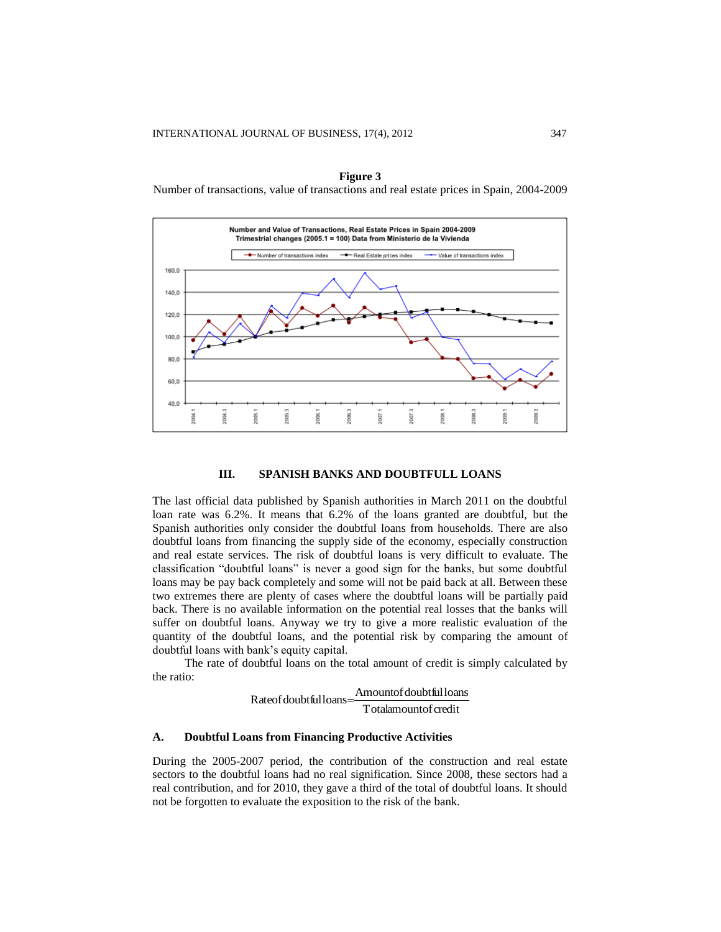



### **III. SPANISH BANKS AND DOUBTFULL LOANS**

The last official data published by Spanish authorities in March 2011 on the doubtful loan rate was 6.2%. It means that 6.2% of the loans granted are doubtful, but the Spanish authorities only consider the doubtful loans from households. There are also doubtful loans from financing the supply side of the economy, especially construction and real estate services. The risk of doubtful loans is very difficult to evaluate. The classification "doubtful loans" is never a good sign for the banks, but some doubtful loans may be pay back completely and some will not be paid back at all. Between these two extremes there are plenty of cases where the doubtful loans will be partially paid back. There is no available information on the potential real losses that the banks will suffer on doubtful loans. Anyway we try to give a more realistic evaluation of the quantity of the doubtful loans, and the potential risk by comparing the amount of doubtful loans with bank's equity capital.

The rate of doubtful loans on the total amount of credit is simply calculated by the ratio:

> Totalamountof credit Rateof doubtful loans = Amountof doubtful loans

# **A. Doubtful Loans from Financing Productive Activities**

During the 2005-2007 period, the contribution of the construction and real estate sectors to the doubtful loans had no real signification. Since 2008, these sectors had a real contribution, and for 2010, they gave a third of the total of doubtful loans. It should not be forgotten to evaluate the exposition to the risk of the bank.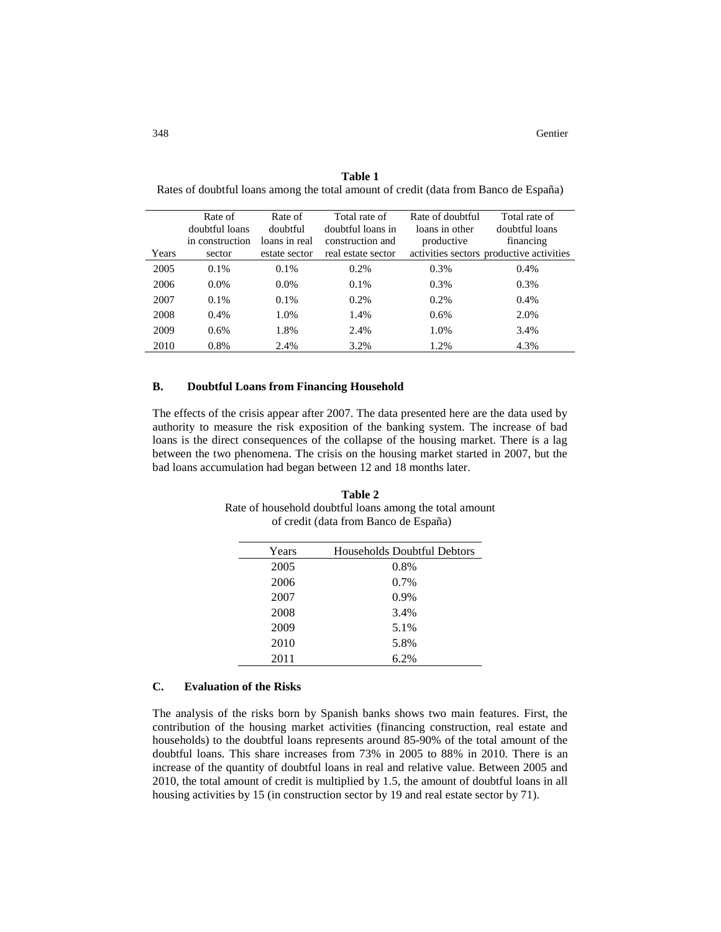| Years | Rate of<br>doubtful loans<br>in construction<br>sector | Rate of<br>doubtful<br>loans in real<br>estate sector | Total rate of<br>doubtful loans in<br>construction and<br>real estate sector | Rate of doubtful<br>loans in other<br>productive | Total rate of<br>doubtful loans<br>financing<br>activities sectors productive activities |
|-------|--------------------------------------------------------|-------------------------------------------------------|------------------------------------------------------------------------------|--------------------------------------------------|------------------------------------------------------------------------------------------|
| 2005  | $0.1\%$                                                | $0.1\%$                                               | 0.2%                                                                         | 0.3%                                             | 0.4%                                                                                     |
| 2006  | $0.0\%$                                                | $0.0\%$                                               | $0.1\%$                                                                      | 0.3%                                             | 0.3%                                                                                     |
| 2007  | $0.1\%$                                                | 0.1%                                                  | 0.2%                                                                         | 0.2%                                             | 0.4%                                                                                     |
| 2008  | 0.4%                                                   | 1.0%                                                  | 1.4%                                                                         | 0.6%                                             | 2.0%                                                                                     |
| 2009  | $0.6\%$                                                | 1.8%                                                  | 2.4%                                                                         | 1.0%                                             | 3.4%                                                                                     |
| 2010  | 0.8%                                                   | 2.4%                                                  | 3.2%                                                                         | 1.2%                                             | 4.3%                                                                                     |

**Table 1**  Rates of doubtful loans among the total amount of credit (data from Banco de España)

#### **B. Doubtful Loans from Financing Household**

The effects of the crisis appear after 2007. The data presented here are the data used by authority to measure the risk exposition of the banking system. The increase of bad loans is the direct consequences of the collapse of the housing market. There is a lag between the two phenomena. The crisis on the housing market started in 2007, but the bad loans accumulation had began between 12 and 18 months later.

**Table 2** Rate of household doubtful loans among the total amount of credit (data from Banco de España)

| Years | Households Doubtful Debtors |
|-------|-----------------------------|
| 2005  | 0.8%                        |
| 2006  | $0.7\%$                     |
| 2007  | 0.9%                        |
| 2008  | 3.4%                        |
| 2009  | 5.1%                        |
| 2010  | 5.8%                        |
| 2011  | 6.2%                        |
|       |                             |

# **C. Evaluation of the Risks**

The analysis of the risks born by Spanish banks shows two main features. First, the contribution of the housing market activities (financing construction, real estate and households) to the doubtful loans represents around 85-90% of the total amount of the doubtful loans. This share increases from 73% in 2005 to 88% in 2010. There is an increase of the quantity of doubtful loans in real and relative value. Between 2005 and 2010, the total amount of credit is multiplied by 1.5, the amount of doubtful loans in all housing activities by 15 (in construction sector by 19 and real estate sector by 71).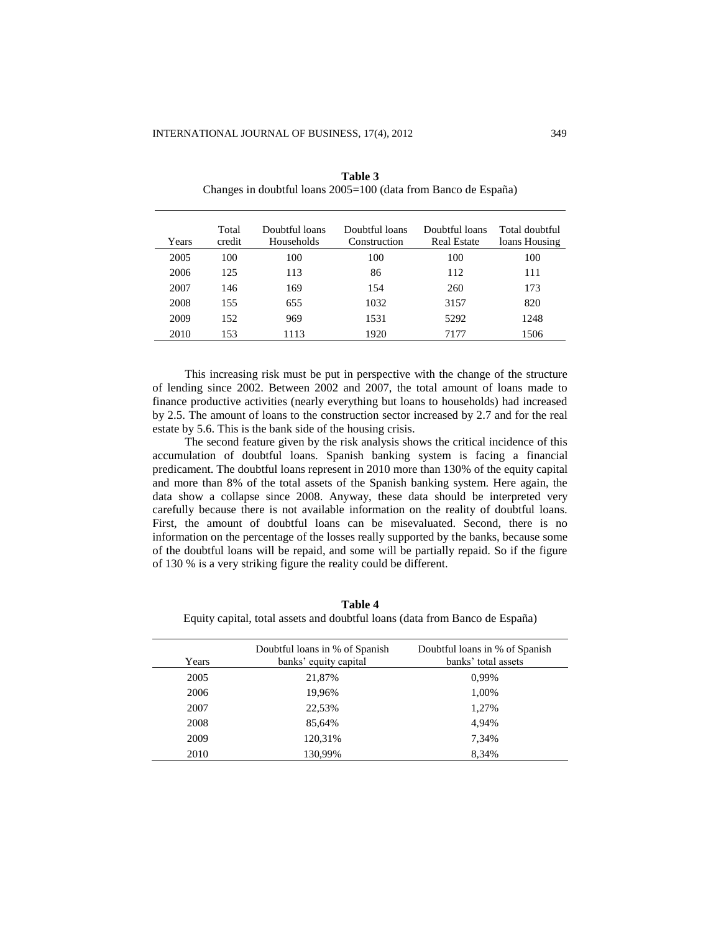| Years | Total<br>credit | Doubtful loans<br>Households | Doubtful loans<br>Construction | Doubtful loans<br><b>Real Estate</b> | Total doubtful<br>loans Housing |
|-------|-----------------|------------------------------|--------------------------------|--------------------------------------|---------------------------------|
| 2005  | 100             | 100                          | 100                            | 100                                  | 100                             |
| 2006  | 125             | 113                          | 86                             | 112                                  | 111                             |
| 2007  | 146             | 169                          | 154                            | 260                                  | 173                             |
| 2008  | 155             | 655                          | 1032                           | 3157                                 | 820                             |
| 2009  | 152             | 969                          | 1531                           | 5292                                 | 1248                            |
| 2010  | 153             | 1113                         | 1920                           | 7177                                 | 1506                            |

**Table 3**  Changes in doubtful loans 2005=100 (data from Banco de España)

This increasing risk must be put in perspective with the change of the structure of lending since 2002. Between 2002 and 2007, the total amount of loans made to finance productive activities (nearly everything but loans to households) had increased by 2.5. The amount of loans to the construction sector increased by 2.7 and for the real estate by 5.6. This is the bank side of the housing crisis.

The second feature given by the risk analysis shows the critical incidence of this accumulation of doubtful loans. Spanish banking system is facing a financial predicament. The doubtful loans represent in 2010 more than 130% of the equity capital and more than 8% of the total assets of the Spanish banking system. Here again, the data show a collapse since 2008. Anyway, these data should be interpreted very carefully because there is not available information on the reality of doubtful loans. First, the amount of doubtful loans can be misevaluated. Second, there is no information on the percentage of the losses really supported by the banks, because some of the doubtful loans will be repaid, and some will be partially repaid. So if the figure of 130 % is a very striking figure the reality could be different.

**Table 4** Equity capital, total assets and doubtful loans (data from Banco de España)

| Years | Doubtful loans in % of Spanish<br>banks' equity capital | Doubtful loans in % of Spanish<br>banks' total assets |
|-------|---------------------------------------------------------|-------------------------------------------------------|
| 2005  | 21,87%                                                  | 0.99%                                                 |
| 2006  | 19,96%                                                  | 1,00%                                                 |
| 2007  | 22,53%                                                  | 1,27%                                                 |
| 2008  | 85,64%                                                  | 4.94%                                                 |
| 2009  | 120,31%                                                 | 7,34%                                                 |
| 2010  | 130,99%                                                 | 8.34%                                                 |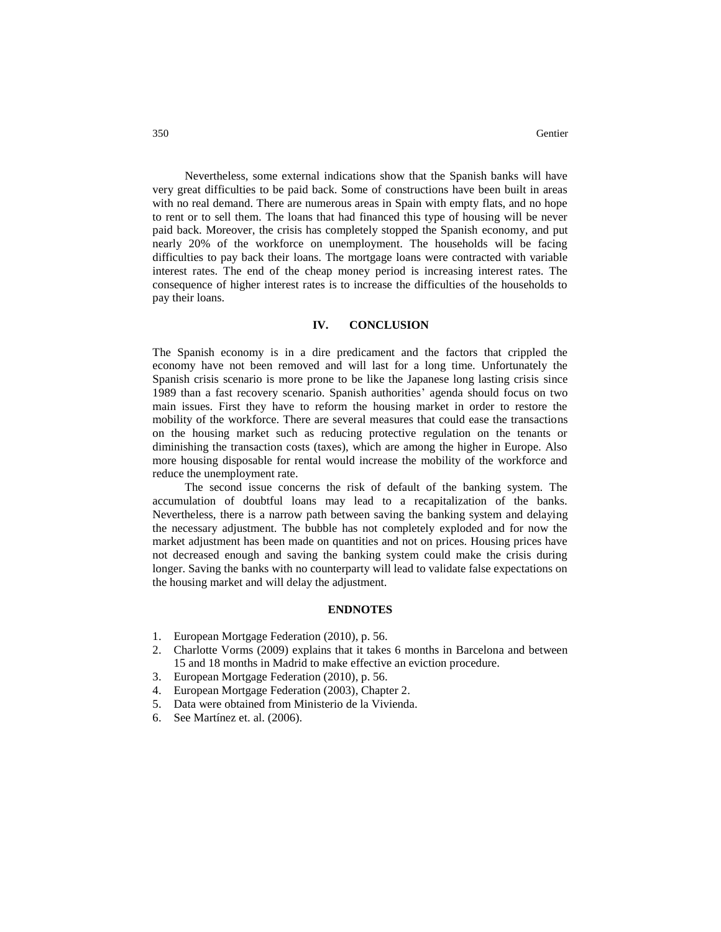Nevertheless, some external indications show that the Spanish banks will have very great difficulties to be paid back. Some of constructions have been built in areas with no real demand. There are numerous areas in Spain with empty flats, and no hope to rent or to sell them. The loans that had financed this type of housing will be never paid back. Moreover, the crisis has completely stopped the Spanish economy, and put nearly 20% of the workforce on unemployment. The households will be facing difficulties to pay back their loans. The mortgage loans were contracted with variable interest rates. The end of the cheap money period is increasing interest rates. The consequence of higher interest rates is to increase the difficulties of the households to pay their loans.

#### **IV. CONCLUSION**

The Spanish economy is in a dire predicament and the factors that crippled the economy have not been removed and will last for a long time. Unfortunately the Spanish crisis scenario is more prone to be like the Japanese long lasting crisis since 1989 than a fast recovery scenario. Spanish authorities' agenda should focus on two main issues. First they have to reform the housing market in order to restore the mobility of the workforce. There are several measures that could ease the transactions on the housing market such as reducing protective regulation on the tenants or diminishing the transaction costs (taxes), which are among the higher in Europe. Also more housing disposable for rental would increase the mobility of the workforce and reduce the unemployment rate.

The second issue concerns the risk of default of the banking system. The accumulation of doubtful loans may lead to a recapitalization of the banks. Nevertheless, there is a narrow path between saving the banking system and delaying the necessary adjustment. The bubble has not completely exploded and for now the market adjustment has been made on quantities and not on prices. Housing prices have not decreased enough and saving the banking system could make the crisis during longer. Saving the banks with no counterparty will lead to validate false expectations on the housing market and will delay the adjustment.

# **ENDNOTES**

- 1. European Mortgage Federation (2010), p. 56.
- 2. Charlotte Vorms (2009) explains that it takes 6 months in Barcelona and between 15 and 18 months in Madrid to make effective an eviction procedure.
- 3. European Mortgage Federation (2010), p. 56.
- 4. European Mortgage Federation (2003), Chapter 2.
- 5. Data were obtained from Ministerio de la Vivienda.
- 6. See Martínez et. al. (2006).